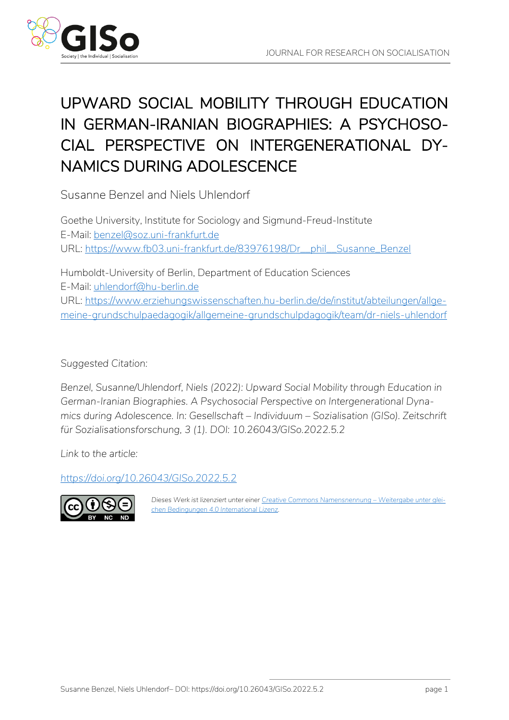

# UPWARD SOCIAL MOBILITY THROUGH EDUCATION IN GERMAN-IRANIAN BIOGRAPHIES: A PSYCHOSO-CIAL PERSPECTIVE ON INTERGENERATIONAL DY-NAMICS DURING ADOLESCENCE

Susanne Benzel and Niels Uhlendorf

Goethe University, Institute for Sociology and Sigmund-Freud-Institute E-Mail: [benzel@soz.uni-frankfurt.de](mailto:benzel@soz.uni-frankfurt.de) URL: [https://www.fb03.uni-frankfurt.de/83976198/Dr\\_\\_phil\\_\\_Susanne\\_Benzel](https://www.fb03.uni-frankfurt.de/83976198/Dr__phil__Susanne_Benzel)

Humboldt-University of Berlin, Department of Education Sciences E-Mail: [uhlendorf@hu-berlin.de](mailto:uhlendorf@hu-berlin.de) URL: [https://www.erziehungswissenschaften.hu-berlin.de/de/institut/abteilungen/allge](https://www.erziehungswissenschaften.hu-berlin.de/de/institut/abteilungen/allgemeine-grundschulpaedagogik/allgemeine-grundschulpdagogik/team/dr-niels-uhlendorf)[meine-grundschulpaedagogik/allgemeine-grundschulpdagogik/team/dr-niels-uhlendorf](https://www.erziehungswissenschaften.hu-berlin.de/de/institut/abteilungen/allgemeine-grundschulpaedagogik/allgemeine-grundschulpdagogik/team/dr-niels-uhlendorf)

*Suggested Citation:*

*Benzel, Susanne/Uhlendorf, Niels (2022): Upward Social Mobility through Education in German-Iranian Biographies. A Psychosocial Perspective on Intergenerational Dynamics during Adolescence. In: Gesellschaft – Individuum – Sozialisation (GISo). Zeitschrift für Sozialisationsforschung, 3 (1). DOI: 10.26043/GISo.2022.5.2*

*Link to the article:*

*<https://doi.org/10.26043/GISo.2022.5.2>*



Dieses Werk ist lizenziert unter einer [Creative Commons Namensnennung](https://creativecommons.org/licenses/by-nc-nd/4.0/deed.de) - Weitergabe unter glei*[chen Bedingungen 4.0 International Lizenz.](https://creativecommons.org/licenses/by-nc-nd/4.0/deed.de)*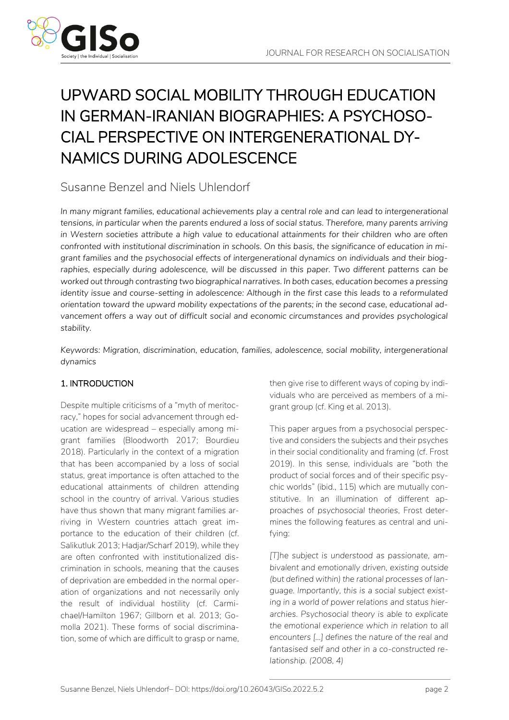

# UPWARD SOCIAL MOBILITY THROUGH EDUCATION IN GERMAN-IRANIAN BIOGRAPHIES: A PSYCHOSO-CIAL PERSPECTIVE ON INTERGENERATIONAL DY-NAMICS DURING ADOLESCENCE

### Susanne Benzel and Niels Uhlendorf

In many migrant families, educational achievements play a central role and can lead to intergenerational *tensions, in particular when the parents endured a loss of social status. Therefore, many parents arriving in Western societies attribute a high value to educational attainments for their children who are often confronted with institutional discrimination in schools. On this basis, the significance of education in migrant families and the psychosocial effects of intergenerational dynamics on individuals and their biog*raphies, especially during adolescence, will be discussed in this paper. Two different patterns can be *worked out through contrasting two biographical narratives. In both cases, education becomes a pressing identity issue and course-setting in adolescence: Although in the first case this leads to a reformulated orientation toward the upward mobility expectations of the parents; in the second case, educational advancement offers a way out of difficult social and economic circumstances and provides psychological stability.*

*Keywords: Migration, discrimination, education, families, adolescence, social mobility, intergenerational dynamics*

### 1. INTRODUCTION

Despite multiple criticisms of a "myth of meritocracy," hopes for social advancement through education are widespread – especially among migrant families (Bloodworth 2017; Bourdieu 2018). Particularly in the context of a migration that has been accompanied by a loss of social status, great importance is often attached to the educational attainments of children attending school in the country of arrival. Various studies have thus shown that many migrant families arriving in Western countries attach great importance to the education of their children (cf. Salikutluk 2013; Hadjar/Scharf 2019), while they are often confronted with institutionalized discrimination in schools, meaning that the causes of deprivation are embedded in the normal operation of organizations and not necessarily only the result of individual hostility (cf. Carmichael/Hamilton 1967; Gillborn et al. 2013; Gomolla 2021). These forms of social discrimination, some of which are difficult to grasp or name, then give rise to different ways of coping by individuals who are perceived as members of a migrant group (cf. King et al. 2013).

This paper argues from a psychosocial perspective and considers the subjects and their psyches in their social conditionality and framing (cf. Frost 2019). In this sense, individuals are "both the product of social forces and of their specific psychic worlds" (ibid., 115) which are mutually constitutive. In an illumination of different approaches of *psychosocial theories*, Frost determines the following features as central and unifying:

*[T]he subject is understood as passionate, ambivalent and emotionally driven, existing outside (but defined within) the rational processes of language. Importantly, this is a social subject existing in a world of power relations and status hierarchies. Psychosocial theory is able to explicate the emotional experience which in relation to all encounters […] defines the nature of the real and fantasised self and other in a co-constructed relationship. (2008, 4)*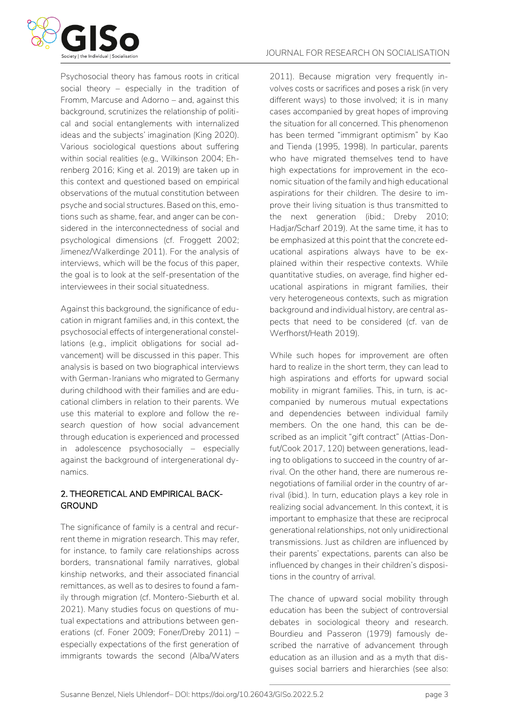

Psychosocial theory has famous roots in critical social theory – especially in the tradition of Fromm, Marcuse and Adorno – and, against this background, scrutinizes the relationship of political and social entanglements with internalized ideas and the subjects' imagination (King 2020). Various sociological questions about suffering within social realities (e.g., Wilkinson 2004; Ehrenberg 2016; King et al. 2019) are taken up in this context and questioned based on empirical observations of the mutual constitution between psyche and social structures. Based on this, emotions such as shame, fear, and anger can be considered in the interconnectedness of social and psychological dimensions (cf. Froggett 2002; Jimenez/Walkerdinge 2011). For the analysis of interviews, which will be the focus of this paper, the goal is to look at the self-presentation of the interviewees in their social situatedness.

Against this background, the significance of education in migrant families and, in this context, the psychosocial effects of intergenerational constellations (e.g., implicit obligations for social advancement) will be discussed in this paper. This analysis is based on two biographical interviews with German-Iranians who migrated to Germany during childhood with their families and are educational climbers in relation to their parents. We use this material to explore and follow the *research question* of how social advancement through education is experienced and processed in adolescence psychosocially – especially against the background of intergenerational dynamics.

#### 2. THEORETICAL AND EMPIRICAL BACK-GROUND

The significance of family is a central and recurrent theme in migration research. This may refer, for instance, to family care relationships across borders, transnational family narratives, global kinship networks, and their associated financial remittances, as well as to desires to found a family through migration (cf. Montero-Sieburth et al. 2021). Many studies focus on questions of mutual expectations and attributions between generations (cf. Foner 2009; Foner/Dreby 2011) – especially expectations of the first generation of immigrants towards the second (Alba/Waters 2011). Because migration very frequently involves costs or sacrifices and poses a risk (in very different ways) to those involved; it is in many cases accompanied by great hopes of improving the situation for all concerned. This phenomenon has been termed "immigrant optimism" by Kao and Tienda (1995, 1998). In particular, parents who have migrated themselves tend to have high expectations for improvement in the economic situation of the family and high educational aspirations for their children. The desire to improve their living situation is thus transmitted to the next generation (ibid.; Dreby 2010; Hadjar/Scharf 2019). At the same time, it has to be emphasized at this point that the concrete educational aspirations always have to be explained within their respective contexts. While quantitative studies, on average, find higher educational aspirations in migrant families, their very heterogeneous contexts, such as migration background and individual history, are central aspects that need to be considered (cf. van de Werfhorst/Heath 2019).

While such hopes for improvement are often hard to realize in the short term, they can lead to high aspirations and efforts for upward social mobility in migrant families. This, in turn, is accompanied by numerous mutual expectations and dependencies between individual family members. On the one hand, this can be described as an implicit "gift contract" (Attias-Donfut/Cook 2017, 120) between generations, leading to obligations to succeed in the country of arrival. On the other hand, there are numerous renegotiations of familial order in the country of arrival (ibid.). In turn, education plays a key role in realizing social advancement. In this context, it is important to emphasize that these are reciprocal generational relationships, not only unidirectional transmissions. Just as children are influenced by their parents' expectations, parents can also be influenced by changes in their children's dispositions in the country of arrival.

The chance of upward social mobility through education has been the subject of controversial debates in sociological theory and research. Bourdieu and Passeron (1979) famously described the narrative of advancement through education as an illusion and as a myth that disguises social barriers and hierarchies (see also: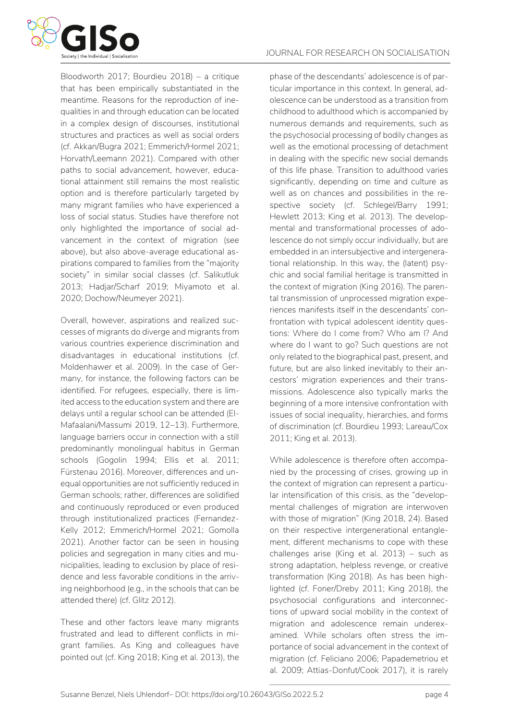

Bloodworth 2017; Bourdieu 2018) – a critique that has been empirically substantiated in the meantime. Reasons for the reproduction of inequalities in and through education can be located in a complex design of discourses, institutional structures and practices as well as social orders (cf. Akkan/Bugra 2021; Emmerich/Hormel 2021; Horvath/Leemann 2021). Compared with other paths to social advancement, however, educational attainment still remains the most realistic option and is therefore particularly targeted by many migrant families who have experienced a loss of social status. Studies have therefore not only highlighted the importance of social advancement in the context of migration (see above), but also above-average educational aspirations compared to families from the "majority society" in similar social classes (cf. Salikutluk 2013; Hadjar/Scharf 2019; Miyamoto et al. 2020; Dochow/Neumeyer 2021).

Overall, however, aspirations and realized successes of migrants do diverge and migrants from various countries experience discrimination and disadvantages in educational institutions (cf. Moldenhawer et al. 2009). In the case of Germany, for instance, the following factors can be identified. For refugees, especially, there is limited access to the education system and there are delays until a regular school can be attended (El-Mafaalani/Massumi 2019, 12–13). Furthermore, language barriers occur in connection with a still predominantly monolingual habitus in German schools (Gogolin 1994; Ellis et al. 2011; Fürstenau 2016). Moreover, differences and unequal opportunities are not sufficiently reduced in German schools; rather, differences are solidified and continuously reproduced or even produced through institutionalized practices (Fernandez-Kelly 2012; Emmerich/Hormel 2021; Gomolla 2021). Another factor can be seen in housing policies and segregation in many cities and municipalities, leading to exclusion by place of residence and less favorable conditions in the arriving neighborhood (e.g., in the schools that can be attended there) (cf. Glitz 2012).

These and other factors leave many migrants frustrated and lead to different conflicts in migrant families. As King and colleagues have pointed out (cf. King 2018; King et al. 2013), the

phase of the descendants' adolescence is of particular importance in this context. In general, adolescence can be understood as a transition from childhood to adulthood which is accompanied by numerous demands and requirements, such as the psychosocial processing of bodily changes as well as the emotional processing of detachment in dealing with the specific new social demands of this life phase. Transition to adulthood varies significantly, depending on time and culture as well as on chances and possibilities in the respective society (cf. Schlegel/Barry 1991; Hewlett 2013; King et al. 2013). The developmental and transformational processes of adolescence do not simply occur individually, but are embedded in an intersubjective and intergenerational relationship. In this way, the (latent) psychic and social familial heritage is transmitted in the context of migration (King 2016). The parental transmission of unprocessed migration experiences manifests itself in the descendants' confrontation with typical adolescent identity questions: Where do I come from? Who am I? And where do I want to go? Such questions are not only related to the biographical past, present, and future, but are also linked inevitably to their ancestors' migration experiences and their transmissions. Adolescence also typically marks the beginning of a more intensive confrontation with issues of social inequality, hierarchies, and forms of discrimination (cf. Bourdieu 1993; Lareau/Cox 2011; King et al. 2013).

While adolescence is therefore often accompanied by the processing of crises, growing up in the context of migration can represent a particular intensification of this crisis, as the "developmental challenges of migration are interwoven with those of migration" (King 2018, 24). Based on their respective intergenerational entanglement, different mechanisms to cope with these challenges arise (King et al. 2013) – such as strong adaptation, helpless revenge, or creative transformation (King 2018). As has been highlighted (cf. Foner/Dreby 2011; King 2018), the psychosocial configurations and interconnections of upward social mobility in the context of migration and adolescence remain underexamined. While scholars often stress the importance of social advancement in the context of migration (cf. Feliciano 2006; Papademetriou et al. 2009; Attias-Donfut/Cook 2017), it is rarely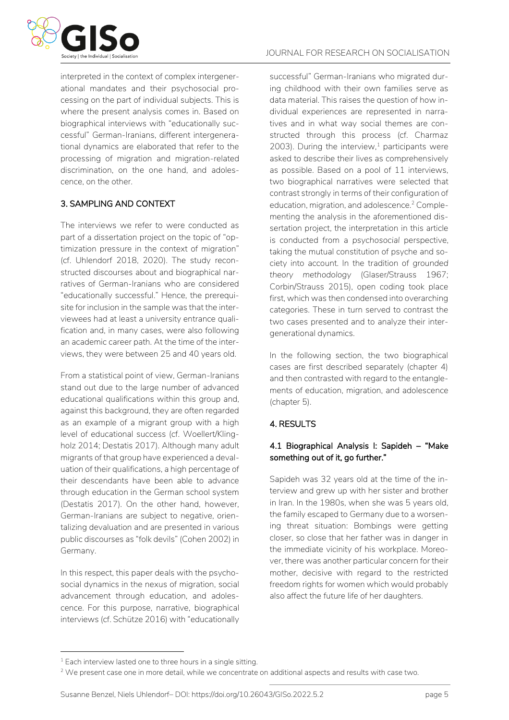

interpreted in the context of complex intergenerational mandates and their psychosocial processing on the part of individual subjects. This is where the present analysis comes in. Based on biographical interviews with "educationally successful" German-Iranians, different intergenerational dynamics are elaborated that refer to the processing of migration and migration-related discrimination, on the one hand, and adolescence, on the other.

#### 3. SAMPLING AND CONTEXT

The interviews we refer to were conducted as part of a dissertation project on the topic of "optimization pressure in the context of migration" (cf. Uhlendorf 2018, 2020). The study reconstructed discourses about and biographical narratives of German-Iranians who are considered "educationally successful." Hence, the prerequisite for inclusion in the sample was that the interviewees had at least a university entrance qualification and, in many cases, were also following an academic career path. At the time of the interviews, they were between 25 and 40 years old.

From a statistical point of view, German-Iranians stand out due to the large number of advanced educational qualifications within this group and, against this background, they are often regarded as an example of a migrant group with a high level of educational success (cf. Woellert/Klingholz 2014; Destatis 2017). Although many adult migrants of that group have experienced a devaluation of their qualifications, a high percentage of their descendants have been able to advance through education in the German school system (Destatis 2017). On the other hand, however, German-Iranians are subject to negative, orientalizing devaluation and are presented in various public discourses as "folk devils" (Cohen 2002) in Germany.

In this respect, this paper deals with the psychosocial dynamics in the nexus of migration, social advancement through education, and adolescence. For this purpose, narrative, biographical interviews (cf. Schütze 2016) with "educationally successful" German-Iranians who migrated during childhood with their own families serve as data material. This raises the question of how individual experiences are represented in narratives and in what way social themes are constructed through this process (cf. Charmaz 2003). During the interview, $1$  participants were asked to describe their lives as comprehensively as possible. Based on a pool of 11 interviews, two biographical narratives were selected that contrast strongly in terms of their configuration of education, migration, and adolescence.<sup>2</sup> Complementing the analysis in the aforementioned dissertation project, the interpretation in this article is conducted from a *psychosocial* perspective, taking the mutual constitution of psyche and society into account. In the tradition of *grounded theory methodology* (Glaser/Strauss 1967; Corbin/Strauss 2015), open coding took place first, which was then condensed into overarching categories. These in turn served to contrast the two cases presented and to analyze their intergenerational dynamics.

In the following section, the two biographical cases are first described separately (chapter 4) and then contrasted with regard to the entanglements of education, migration, and adolescence (chapter 5).

#### 4. RESULTS

#### 4.1 Biographical Analysis I: Sapideh – "Make something out of it, go further."

Sapideh was 32 years old at the time of the interview and grew up with her sister and brother in Iran. In the 1980s, when she was 5 years old, the family escaped to Germany due to a worsening threat situation: Bombings were getting closer, so close that her father was in danger in the immediate vicinity of his workplace. Moreover, there was another particular concern for their mother, decisive with regard to the restricted freedom rights for women which would probably also affect the future life of her daughters.

<sup>1</sup> Each interview lasted one to three hours in a single sitting.

<sup>&</sup>lt;sup>2</sup> We present case one in more detail, while we concentrate on additional aspects and results with case two.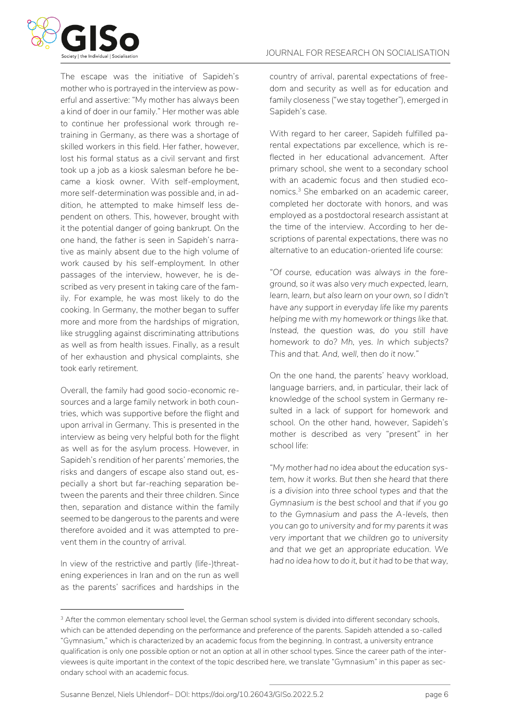

The escape was the initiative of Sapideh's mother who is portrayed in the interview as powerful and assertive: "My mother has always been a kind of doer in our family." Her mother was able to continue her professional work through retraining in Germany, as there was a shortage of skilled workers in this field. Her father, however, lost his formal status as a civil servant and first took up a job as a kiosk salesman before he became a kiosk owner. With self-employment, more self-determination was possible and, in addition, he attempted to make himself less dependent on others. This, however, brought with it the potential danger of going bankrupt. On the one hand, the father is seen in Sapideh's narrative as mainly absent due to the high volume of work caused by his self-employment. In other passages of the interview, however, he is described as very present in taking care of the family. For example, he was most likely to do the cooking. In Germany, the mother began to suffer more and more from the hardships of migration, like struggling against discriminating attributions as well as from health issues. Finally, as a result of her exhaustion and physical complaints, she took early retirement.

Overall, the family had good socio-economic resources and a large family network in both countries, which was supportive before the flight and upon arrival in Germany. This is presented in the interview as being very helpful both for the flight as well as for the asylum process. However, in Sapideh's rendition of her parents' memories, the risks and dangers of escape also stand out, especially a short but far-reaching separation between the parents and their three children. Since then, separation and distance within the family seemed to be dangerous to the parents and were therefore avoided and it was attempted to prevent them in the country of arrival.

In view of the restrictive and partly (life-)threatening experiences in Iran and on the run as well as the parents' sacrifices and hardships in the country of arrival, parental expectations of freedom and security as well as for education and family closeness ("we stay together"), emerged in Sapideh's case.

With regard to her career, Sapideh fulfilled parental expectations par excellence, which is reflected in her educational advancement. After primary school, she went to a secondary school with an academic focus and then studied economics. <sup>3</sup> She embarked on an academic career, completed her doctorate with honors, and was employed as a postdoctoral research assistant at the time of the interview. According to her descriptions of parental expectations, there was no alternative to an education-oriented life course:

*"Of course, education was always in the foreground, so it was also very much expected, learn, learn, learn, but also learn on your own, so I didn't have any support in everyday life like my parents helping me with my homework or things like that. Instead, the question was, do you still have homework to do? Mh, yes. In which subjects? This and that. And, well, then do it now."*

On the one hand, the parents' heavy workload, language barriers, and, in particular, their lack of knowledge of the school system in Germany resulted in a lack of support for homework and school. On the other hand, however, Sapideh's mother is described as very "present" in her school life:

*"My mother had no idea about the education system, how it works. But then she heard that there is a division into three school types and that the Gymnasium is the best school and that if you go to the Gymnasium and pass the A-levels, then you can go to university and for my parents it was very important that we children go to university and that we get an appropriate education. We had no idea how to do it, but it had to be that way,* 

<sup>&</sup>lt;sup>3</sup> After the common elementary school level, the German school system is divided into different secondary schools, which can be attended depending on the performance and preference of the parents. Sapideh attended a so-called "Gymnasium," which is characterized by an academic focus from the beginning. In contrast, a university entrance qualification is only one possible option or not an option at all in other school types. Since the career path of the interviewees is quite important in the context of the topic described here, we translate "Gymnasium" in this paper as secondary school with an academic focus.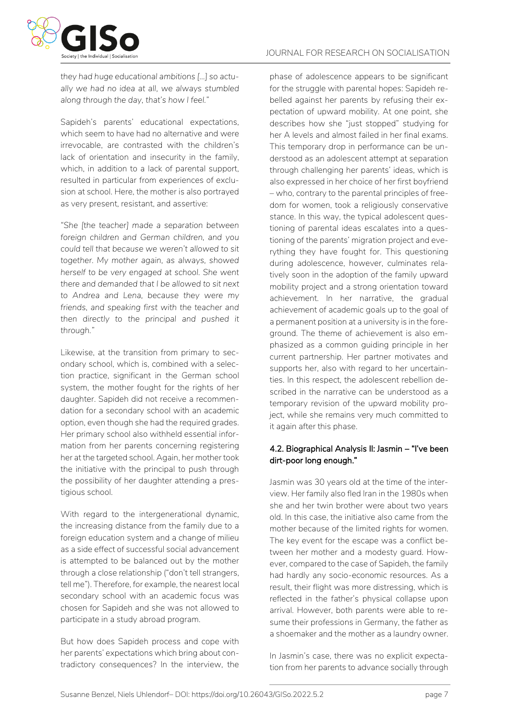

*they had huge educational ambitions [...] so actually we had no idea at all, we always stumbled along through the day, that's how I feel."* 

Sapideh's parents' educational expectations, which seem to have had no alternative and were irrevocable, are contrasted with the children's lack of orientation and insecurity in the family, which, in addition to a lack of parental support, resulted in particular from experiences of exclusion at school. Here, the mother is also portrayed as very present, resistant, and assertive:

*"She [the teacher] made a separation between foreign children and German children, and you could tell that because we weren't allowed to sit together. My mother again, as always, showed herself to be very engaged at school. She went there and demanded that I be allowed to sit next to Andrea and Lena, because they were my friends, and speaking first with the teacher and then directly to the principal and pushed it through."*

Likewise, at the transition from primary to secondary school, which is, combined with a selection practice, significant in the German school system, the mother fought for the rights of her daughter. Sapideh did not receive a recommendation for a secondary school with an academic option, even though she had the required grades. Her primary school also withheld essential information from her parents concerning registering her at the targeted school. Again, her mother took the initiative with the principal to push through the possibility of her daughter attending a prestigious school.

With regard to the intergenerational dynamic, the increasing distance from the family due to a foreign education system and a change of milieu as a side effect of successful social advancement is attempted to be balanced out by the mother through a close relationship ("don't tell strangers, tell me"). Therefore, for example, the nearest local secondary school with an academic focus was chosen for Sapideh and she was not allowed to participate in a study abroad program.

But how does Sapideh process and cope with her parents' expectations which bring about contradictory consequences? In the interview, the

phase of adolescence appears to be significant for the struggle with parental hopes: Sapideh rebelled against her parents by refusing their expectation of upward mobility. At one point, she describes how she "just stopped" studying for her A levels and almost failed in her final exams. This temporary drop in performance can be understood as an adolescent attempt at separation through challenging her parents' ideas, which is also expressed in her choice of her first boyfriend – who, contrary to the parental principles of freedom for women, took a religiously conservative stance. In this way, the typical adolescent questioning of parental ideas escalates into a questioning of the parents' migration project and everything they have fought for. This questioning during adolescence, however, culminates relatively soon in the adoption of the family upward mobility project and a strong orientation toward achievement. In her narrative, the gradual achievement of academic goals up to the goal of a permanent position at a university is in the foreground. The theme of achievement is also emphasized as a common guiding principle in her current partnership. Her partner motivates and supports her, also with regard to her uncertainties. In this respect, the adolescent rebellion described in the narrative can be understood as a temporary revision of the upward mobility project, while she remains very much committed to it again after this phase.

#### 4.2. Biographical Analysis II: Jasmin – "I've been dirt-poor long enough."

Jasmin was 30 years old at the time of the interview. Her family also fled Iran in the 1980s when she and her twin brother were about two years old. In this case, the initiative also came from the mother because of the limited rights for women. The key event for the escape was a conflict between her mother and a modesty guard. However, compared to the case of Sapideh, the family had hardly any socio-economic resources. As a result, their flight was more distressing, which is reflected in the father's physical collapse upon arrival. However, both parents were able to resume their professions in Germany, the father as a shoemaker and the mother as a laundry owner.

In Jasmin's case, there was no explicit expectation from her parents to advance socially through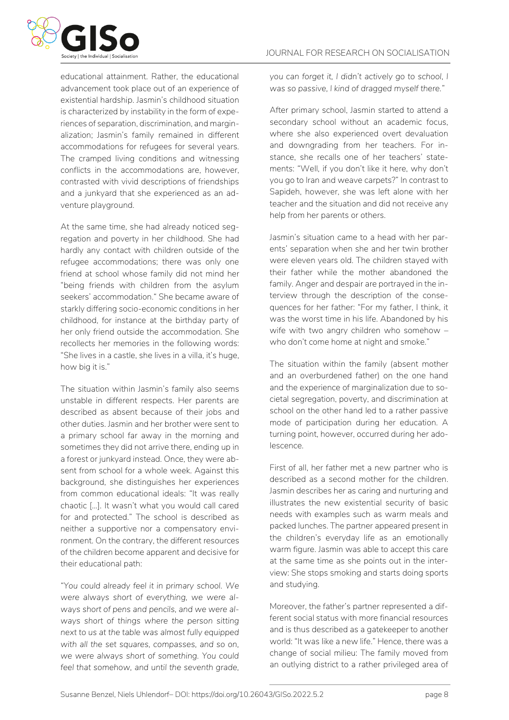

educational attainment. Rather, the educational advancement took place out of an experience of existential hardship. Jasmin's childhood situation is characterized by instability in the form of experiences of separation, discrimination, and marginalization; Jasmin's family remained in different accommodations for refugees for several years. The cramped living conditions and witnessing conflicts in the accommodations are, however, contrasted with vivid descriptions of friendships and a junkyard that she experienced as an adventure playground.

At the same time, she had already noticed segregation and poverty in her childhood. She had hardly any contact with children outside of the refugee accommodations; there was only one friend at school whose family did not mind her "being friends with children from the asylum seekers' accommodation." She became aware of starkly differing socio-economic conditions in her childhood, for instance at the birthday party of her only friend outside the accommodation. She recollects her memories in the following words: "She lives in a castle, she lives in a villa, it's huge, how big it is."

The situation within Jasmin's family also seems unstable in different respects. Her parents are described as absent because of their jobs and other duties. Jasmin and her brother were sent to a primary school far away in the morning and sometimes they did not arrive there, ending up in a forest or junkyard instead. Once, they were absent from school for a whole week. Against this background, she distinguishes her experiences from common educational ideals: "It was really chaotic [...]. It wasn't what you would call cared for and protected." The school is described as neither a supportive nor a compensatory environment. On the contrary, the different resources of the children become apparent and decisive for their educational path:

*"You could already feel it in primary school. We were always short of everything, we were always short of pens and pencils, and we were always short of things where the person sitting next to us at the table was almost fully equipped with all the set squares, compasses, and so on, we were always short of something. You could feel that somehow, and until the seventh grade,*  *you can forget it, I didn't actively go to school, I was so passive, I kind of dragged myself there."*

After primary school, Jasmin started to attend a secondary school without an academic focus, where she also experienced overt devaluation and downgrading from her teachers. For instance, she recalls one of her teachers' statements: "Well, if you don't like it here, why don't you go to Iran and weave carpets?" In contrast to Sapideh, however, she was left alone with her teacher and the situation and did not receive any help from her parents or others.

Jasmin's situation came to a head with her parents' separation when she and her twin brother were eleven years old. The children stayed with their father while the mother abandoned the family. Anger and despair are portrayed in the interview through the description of the consequences for her father: "For my father, I think, it was the worst time in his life. Abandoned by his wife with two angry children who somehow – who don't come home at night and smoke."

The situation within the family (absent mother and an overburdened father) on the one hand and the experience of marginalization due to societal segregation, poverty, and discrimination at school on the other hand led to a rather passive mode of participation during her education. A turning point, however, occurred during her adolescence.

First of all, her father met a new partner who is described as a second mother for the children. Jasmin describes her as caring and nurturing and illustrates the new existential security of basic needs with examples such as warm meals and packed lunches. The partner appeared present in the children's everyday life as an emotionally warm figure. Jasmin was able to accept this care at the same time as she points out in the interview: She stops smoking and starts doing sports and studying.

Moreover, the father's partner represented a different social status with more financial resources and is thus described as a gatekeeper to another world: "It was like a new life." Hence, there was a change of social milieu: The family moved from an outlying district to a rather privileged area of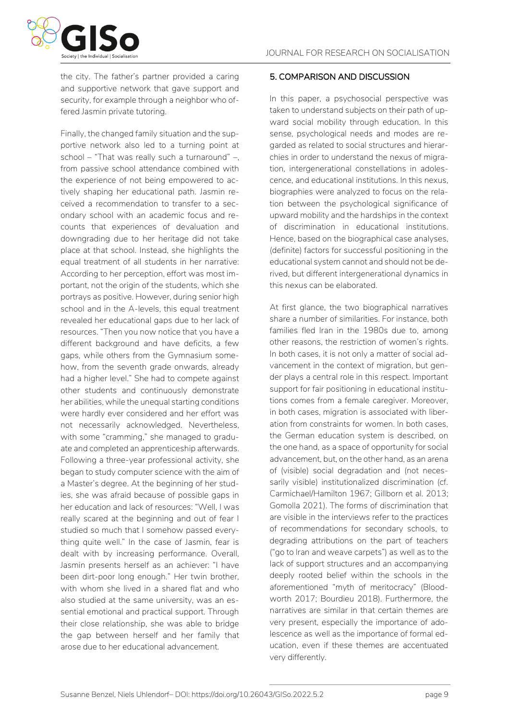

the city. The father's partner provided a caring and supportive network that gave support and security, for example through a neighbor who offered Jasmin private tutoring.

Finally, the changed family situation and the supportive network also led to a turning point at school – "That was really such a turnaround" –, from passive school attendance combined with the experience of not being empowered to actively shaping her educational path. Jasmin received a recommendation to transfer to a secondary school with an academic focus and recounts that experiences of devaluation and downgrading due to her heritage did not take place at that school. Instead, she highlights the equal treatment of all students in her narrative: According to her perception, effort was most important, not the origin of the students, which she portrays as positive. However, during senior high school and in the A-levels, this equal treatment revealed her educational gaps due to her lack of resources. "Then you now notice that you have a different background and have deficits, a few gaps, while others from the Gymnasium somehow, from the seventh grade onwards, already had a higher level." She had to compete against other students and continuously demonstrate her abilities, while the unequal starting conditions were hardly ever considered and her effort was not necessarily acknowledged. Nevertheless, with some "cramming," she managed to graduate and completed an apprenticeship afterwards. Following a three-year professional activity, she began to study computer science with the aim of a Master's degree. At the beginning of her studies, she was afraid because of possible gaps in her education and lack of resources: "Well, I was really scared at the beginning and out of fear I studied so much that I somehow passed everything quite well." In the case of Jasmin, fear is dealt with by increasing performance. Overall, Jasmin presents herself as an achiever: "I have been dirt-poor long enough." Her twin brother, with whom she lived in a shared flat and who also studied at the same university, was an essential emotional and practical support. Through their close relationship, she was able to bridge the gap between herself and her family that arose due to her educational advancement.

#### 5. COMPARISON AND DISCUSSION

In this paper, a psychosocial perspective was taken to understand subjects on their path of upward social mobility through education. In this sense, psychological needs and modes are regarded as related to social structures and hierarchies in order to understand the nexus of migration, intergenerational constellations in adolescence, and educational institutions. In this nexus, biographies were analyzed to focus on the relation between the psychological significance of upward mobility and the hardships in the context of discrimination in educational institutions. Hence, based on the biographical case analyses, (definite) factors for successful positioning in the educational system cannot and should not be derived, but different intergenerational dynamics in this nexus can be elaborated.

At first glance, the two biographical narratives share a number of similarities. For instance, both families fled Iran in the 1980s due to, among other reasons, the restriction of women's rights. In both cases, it is not only a matter of social advancement in the context of migration, but gender plays a central role in this respect. Important support for fair positioning in educational institutions comes from a female caregiver. Moreover, in both cases, migration is associated with liberation from constraints for women. In both cases, the German education system is described, on the one hand, as a space of opportunity for social advancement, but, on the other hand, as an arena of (visible) social degradation and (not necessarily visible) institutionalized discrimination (cf. Carmichael/Hamilton 1967; Gillborn et al. 2013; Gomolla 2021). The forms of discrimination that are visible in the interviews refer to the practices of recommendations for secondary schools, to degrading attributions on the part of teachers ("go to Iran and weave carpets") as well as to the lack of support structures and an accompanying deeply rooted belief within the schools in the aforementioned "myth of meritocracy" (Bloodworth 2017; Bourdieu 2018). Furthermore, the narratives are similar in that certain themes are very present, especially the importance of adolescence as well as the importance of formal education, even if these themes are accentuated very differently.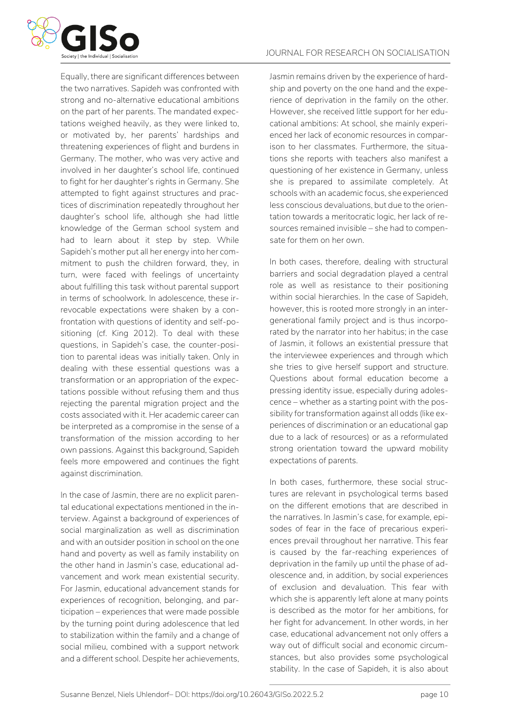

Equally, there are significant differences between the two narratives. *Sapideh* was confronted with strong and no-alternative educational ambitions on the part of her parents. The mandated expectations weighed heavily, as they were linked to, or motivated by, her parents' hardships and threatening experiences of flight and burdens in Germany. The mother, who was very active and involved in her daughter's school life, continued to fight for her daughter's rights in Germany. She attempted to fight against structures and practices of discrimination repeatedly throughout her daughter's school life, although she had little knowledge of the German school system and had to learn about it step by step. While Sapideh's mother put all her energy into her commitment to push the children forward, they, in turn, were faced with feelings of uncertainty about fulfilling this task without parental support in terms of schoolwork. In adolescence, these irrevocable expectations were shaken by a confrontation with questions of identity and self-positioning (cf. King 2012). To deal with these questions, in Sapideh's case, the counter-position to parental ideas was initially taken. Only in dealing with these essential questions was a transformation or an appropriation of the expectations possible without refusing them and thus rejecting the parental migration project and the costs associated with it. Her academic career can be interpreted as a compromise in the sense of a transformation of the mission according to her own passions. Against this background, Sapideh feels more empowered and continues the fight against discrimination.

In the case of *Jasmin*, there are no explicit parental educational expectations mentioned in the interview. Against a background of experiences of social marginalization as well as discrimination and with an outsider position in school on the one hand and poverty as well as family instability on the other hand in Jasmin's case, educational advancement and work mean existential security. For Jasmin, educational advancement stands for experiences of recognition, belonging, and participation – experiences that were made possible by the turning point during adolescence that led to stabilization within the family and a change of social milieu, combined with a support network and a different school. Despite her achievements, Jasmin remains driven by the experience of hardship and poverty on the one hand and the experience of deprivation in the family on the other. However, she received little support for her educational ambitions: At school, she mainly experienced her lack of economic resources in comparison to her classmates. Furthermore, the situations she reports with teachers also manifest a questioning of her existence in Germany, unless she is prepared to assimilate completely. At schools with an academic focus, she experienced less conscious devaluations, but due to the orientation towards a meritocratic logic, her lack of resources remained invisible – she had to compensate for them on her own.

In both cases, therefore, dealing with structural barriers and social degradation played a central role as well as resistance to their positioning within social hierarchies. In the case of Sapideh, however, this is rooted more strongly in an intergenerational family project and is thus incorporated by the narrator into her habitus; in the case of Jasmin, it follows an existential pressure that the interviewee experiences and through which she tries to give herself support and structure. Questions about formal education become a pressing identity issue, especially during adolescence – whether as a starting point with the possibility for transformation against all odds (like experiences of discrimination or an educational gap due to a lack of resources) or as a reformulated strong orientation toward the upward mobility expectations of parents.

In both cases, furthermore, these social structures are relevant in psychological terms based on the different emotions that are described in the narratives. In Jasmin's case, for example, episodes of fear in the face of precarious experiences prevail throughout her narrative. This fear is caused by the far-reaching experiences of deprivation in the family up until the phase of adolescence and, in addition, by social experiences of exclusion and devaluation. This fear with which she is apparently left alone at many points is described as the motor for her ambitions, for her fight for advancement. In other words, in her case, educational advancement not only offers a way out of difficult social and economic circumstances, but also provides some psychological stability. In the case of Sapideh, it is also about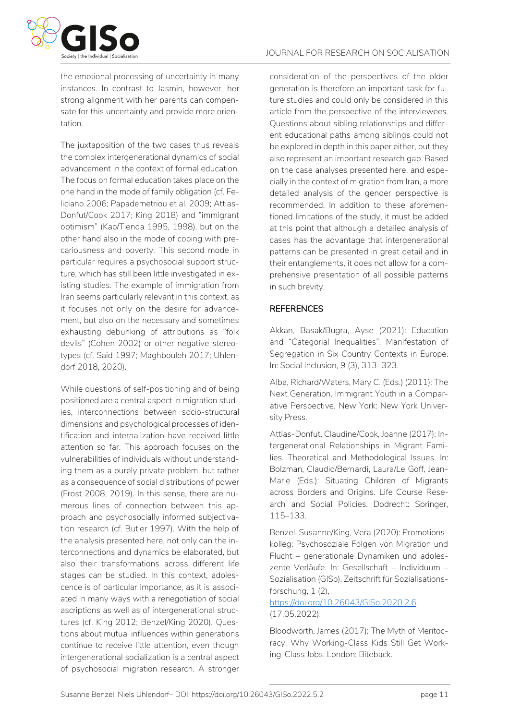

the emotional processing of uncertainty in many instances. In contrast to Jasmin, however, her strong alignment with her parents can compensate for this uncertainty and provide more orientation.

The juxtaposition of the two cases thus reveals the complex intergenerational dynamics of social advancement in the context of formal education. The focus on formal education takes place on the one hand in the mode of family obligation (cf. Feliciano 2006; Papademetriou et al. 2009; Attias-Donfut/Cook 2017; King 2018) and "immigrant optimism" (Kao/Tienda 1995, 1998), but on the other hand also in the mode of coping with precariousness and poverty. This second mode in particular requires a psychosocial support structure, which has still been little investigated in existing studies. The example of immigration from Iran seems particularly relevant in this context, as it focuses not only on the desire for advancement, but also on the necessary and sometimes exhausting debunking of attributions as "folk devils" (Cohen 2002) or other negative stereotypes (cf. Said 1997; Maghbouleh 2017; Uhlendorf 2018, 2020).

While questions of self-positioning and of being positioned are a central aspect in migration studies, interconnections between socio-structural dimensions and psychological processes of identification and internalization have received little attention so far. This approach focuses on the vulnerabilities of individuals without understanding them as a purely private problem, but rather as a consequence of social distributions of power (Frost 2008, 2019). In this sense, there are numerous lines of connection between this approach and psychosocially informed subjectivation research (cf. Butler 1997). With the help of the analysis presented here, not only can the interconnections and dynamics be elaborated, but also their transformations across different life stages can be studied. In this context, adolescence is of particular importance, as it is associated in many ways with a renegotiation of social ascriptions as well as of intergenerational structures (cf. King 2012; Benzel/King 2020). Questions about mutual influences within generations continue to receive little attention, even though intergenerational socialization is a central aspect of psychosocial migration research. A stronger consideration of the perspectives of the older generation is therefore an important task for future studies and could only be considered in this article from the perspective of the interviewees. Questions about sibling relationships and different educational paths among siblings could not be explored in depth in this paper either, but they also represent an important research gap. Based on the case analyses presented here, and especially in the context of migration from Iran, a more detailed analysis of the gender perspective is recommended. In addition to these aforementioned limitations of the study, it must be added at this point that although a detailed analysis of cases has the advantage that intergenerational patterns can be presented in great detail and in their entanglements, it does not allow for a comprehensive presentation of all possible patterns in such brevity.

#### **REFERENCES**

Akkan, Basak/Bugra, Ayse (2021): Education and "Categorial Inequalities". Manifestation of Segregation in Six Country Contexts in Europe. In: Social Inclusion, 9 (3), 313–323.

Alba, Richard/Waters, Mary C. (Eds.) (2011): The Next Generation. Immigrant Youth in a Comparative Perspective. New York: New York University Press.

Attias-Donfut, Claudine/Cook, Joanne (2017): Intergenerational Relationships in Migrant Families. Theoretical and Methodological Issues. In: Bolzman, Claudio/Bernardi, Laura/Le Goff, Jean-Marie (Eds.): Situating Children of Migrants across Borders and Origins. Life Course Research and Social Policies. Dodrecht: Springer, 115–133.

Benzel, Susanne/King, Vera (2020): Promotionskolleg: Psychosoziale Folgen von Migration und Flucht – generationale Dynamiken und adoleszente Verläufe. In: Gesellschaft – Individuum – Sozialisation (GISo). Zeitschrift für Sozialisationsforschung, 1 (2),

#### https://doi.org/10.26043/GISo.2020.2.6 (17.05.2022).

Bloodworth, James (2017): The Myth of Meritocracy. Why Working-Class Kids Still Get Working-Class Jobs. London: Biteback.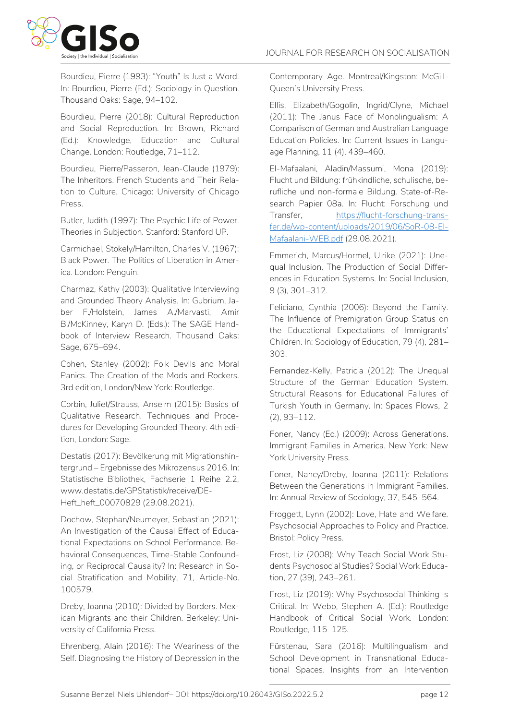

Bourdieu, Pierre (1993): "Youth" Is Just a Word. In: Bourdieu, Pierre (Ed.): Sociology in Question. Thousand Oaks: Sage, 94–102.

Bourdieu, Pierre (2018): Cultural Reproduction and Social Reproduction. In: Brown, Richard (Ed.): Knowledge, Education and Cultural Change. London: Routledge, 71–112.

Bourdieu, Pierre/Passeron, Jean-Claude (1979): The Inheritors. French Students and Their Relation to Culture. Chicago: University of Chicago Press.

Butler, Judith (1997): The Psychic Life of Power. Theories in Subjection. Stanford: Stanford UP.

Carmichael, Stokely/Hamilton, Charles V. (1967): Black Power. The Politics of Liberation in America. London: Penguin.

Charmaz, Kathy (2003): Qualitative Interviewing and Grounded Theory Analysis. In: Gubrium, Jaber F./Holstein, James A./Marvasti, Amir B./McKinney, Karyn D. (Eds.): The SAGE Handbook of Interview Research. Thousand Oaks: Sage, 675–694.

Cohen, Stanley (2002): Folk Devils and Moral Panics. The Creation of the Mods and Rockers. 3rd edition, London/New York: Routledge.

Corbin, Juliet/Strauss, Anselm (2015): Basics of Qualitative Research. Techniques and Procedures for Developing Grounded Theory. 4th edition, London: Sage.

Destatis (2017): Bevölkerung mit Migrationshintergrund – Ergebnisse des Mikrozensus 2016. In: Statistische Bibliothek, Fachserie 1 Reihe 2.2, www.destatis.de/GPStatistik/receive/DE-Heft\_heft\_00070829 (29.08.2021).

Dochow, Stephan/Neumeyer, Sebastian (2021): An Investigation of the Causal Effect of Educational Expectations on School Performance. Behavioral Consequences, Time-Stable Confounding, or Reciprocal Causality? In: Research in Social Stratification and Mobility, 71, Article-No. 100579.

Dreby, Joanna (2010): Divided by Borders. Mexican Migrants and their Children. Berkeley: University of California Press.

Ehrenberg, Alain (2016): The Weariness of the Self. Diagnosing the History of Depression in the Contemporary Age. Montreal/Kingston: McGill-Queen's University Press.

Ellis, Elizabeth/Gogolin, Ingrid/Clyne, Michael (2011): The Janus Face of Monolingualism: A Comparison of German and Australian Language Education Policies. In: Current Issues in Language Planning, 11 (4), 439–460.

El-Mafaalani, Aladin/Massumi, Mona (2019): Flucht und Bildung: frühkindliche, schulische, berufliche und non-formale Bildung. State-of-Research Papier 08a. In: Flucht: Forschung und Transfer, [https://flucht-forschung-trans](https://flucht-forschung-transfer.de/wp-content/uploads/2019/06/SoR-08-El-Mafaalani-WEB.pdf)[fer.de/wp-content/uploads/2019/06/SoR-08-El-](https://flucht-forschung-transfer.de/wp-content/uploads/2019/06/SoR-08-El-Mafaalani-WEB.pdf)[Mafaalani-WEB.pdf](https://flucht-forschung-transfer.de/wp-content/uploads/2019/06/SoR-08-El-Mafaalani-WEB.pdf) (29.08.2021).

Emmerich, Marcus/Hormel, Ulrike (2021): Unequal Inclusion. The Production of Social Differences in Education Systems. In: Social Inclusion, 9 (3), 301–312.

Feliciano, Cynthia (2006): Beyond the Family. The Influence of Premigration Group Status on the Educational Expectations of Immigrants' Children. In: Sociology of Education, 79 (4), 281– 303.

Fernandez-Kelly, Patricia (2012): The Unequal Structure of the German Education System. Structural Reasons for Educational Failures of Turkish Youth in Germany. In: Spaces Flows, 2 (2), 93–112.

Foner, Nancy (Ed.) (2009): Across Generations. Immigrant Families in America. New York: New York University Press.

Foner, Nancy/Dreby, Joanna (2011): Relations Between the Generations in Immigrant Families. In: Annual Review of Sociology, 37, 545–564.

Froggett, Lynn (2002): Love, Hate and Welfare. Psychosocial Approaches to Policy and Practice. Bristol: Policy Press.

Frost, Liz (2008): Why Teach Social Work Students Psychosocial Studies? Social Work Education, 27 (39), 243–261.

Frost, Liz (2019): Why Psychosocial Thinking Is Critical. In: Webb, Stephen A. (Ed.): Routledge Handbook of Critical Social Work. London: Routledge, 115–125.

Fürstenau, Sara (2016): Multilingualism and School Development in Transnational Educational Spaces. Insights from an Intervention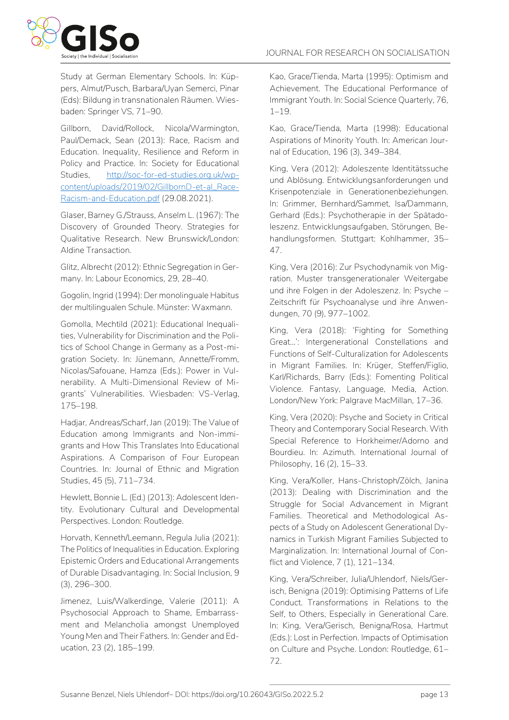Study at German Elementary Schools. In: Küppers, Almut/Pusch, Barbara/Uyan Semerci, Pinar (Eds): Bildung in transnationalen Räumen. Wiesbaden: Springer VS, 71–90.

Gillborn, David/Rollock, Nicola/Warmington, Paul/Demack, Sean (2013): Race, Racism and Education. Inequality, Resilience and Reform in Policy and Practice. In: Society for Educational Studies, [http://soc-for-ed-studies.org.uk/wp](http://soc-for-ed-studies.org.uk/wp-content/uploads/2019/02/GillbornD-et-al_Race-Racism-and-Education.pdf)[content/uploads/2019/02/GillbornD-et-al\\_Race-](http://soc-for-ed-studies.org.uk/wp-content/uploads/2019/02/GillbornD-et-al_Race-Racism-and-Education.pdf)[Racism-and-Education.pdf](http://soc-for-ed-studies.org.uk/wp-content/uploads/2019/02/GillbornD-et-al_Race-Racism-and-Education.pdf) (29.08.2021).

Glaser, Barney G./Strauss, Anselm L. (1967): The Discovery of Grounded Theory. Strategies for Qualitative Research. New Brunswick/London: Aldine Transaction.

Glitz, Albrecht (2012): Ethnic Segregation in Germany. In: Labour Economics, 29, 28–40.

Gogolin, Ingrid (1994): Der monolinguale Habitus der multilingualen Schule. Münster: Waxmann.

Gomolla, Mechtild (2021): Educational Inequalities, Vulnerability for Discrimination and the Politics of School Change in Germany as a Post-migration Society. In: Jünemann, Annette/Fromm, Nicolas/Safouane, Hamza (Eds.): Power in Vulnerability. A Multi-Dimensional Review of Migrants' Vulnerabilities. Wiesbaden: VS-Verlag, 175–198.

Hadjar, Andreas/Scharf, Jan (2019): The Value of Education among Immigrants and Non-immigrants and How This Translates Into Educational Aspirations. A Comparison of Four European Countries. In: Journal of Ethnic and Migration Studies, 45 (5), 711–734.

Hewlett, Bonnie L. (Ed.) (2013): Adolescent Identity. Evolutionary Cultural and Developmental Perspectives. London: Routledge.

Horvath, Kenneth/Leemann, Regula Julia (2021): The Politics of Inequalities in Education. Exploring Epistemic Orders and Educational Arrangements of Durable Disadvantaging. In: Social Inclusion, 9 (3), 296–300.

Jimenez, Luis/Walkerdinge, Valerie (2011): A Psychosocial Approach to Shame, Embarrassment and Melancholia amongst Unemployed Young Men and Their Fathers. In: Gender and Education, 23 (2), 185–199.

Kao, Grace/Tienda, Marta (1995): Optimism and Achievement. The Educational Performance of Immigrant Youth. In: Social Science Quarterly, 76, 1–19.

Kao, Grace/Tienda, Marta (1998): Educational Aspirations of Minority Youth. In: American Journal of Education, 196 (3), 349–384.

King, Vera (2012): Adoleszente Identitätssuche und Ablösung. Entwicklungsanforderungen und Krisenpotenziale in Generationenbeziehungen. In: Grimmer, Bernhard/Sammet, Isa/Dammann, Gerhard (Eds.): Psychotherapie in der Spätadoleszenz. Entwicklungsaufgaben, Störungen, Behandlungsformen. Stuttgart: Kohlhammer, 35– 47.

King, Vera (2016): Zur Psychodynamik von Migration. Muster transgenerationaler Weitergabe und ihre Folgen in der Adoleszenz. In: Psyche – Zeitschrift für Psychoanalyse und ihre Anwendungen, 70 (9), 977–1002.

King, Vera (2018): 'Fighting for Something Great…': Intergenerational Constellations and Functions of Self-Culturalization for Adolescents in Migrant Families. In: Krüger, Steffen/Figlio, Karl/Richards, Barry (Eds.): Fomenting Political Violence. Fantasy, Language, Media, Action. London/New York: Palgrave MacMillan, 17–36.

King, Vera (2020): Psyche and Society in Critical Theory and Contemporary Social Research. With Special Reference to Horkheimer/Adorno and Bourdieu. In: Azimuth. International Journal of Philosophy, 16 (2), 15–33.

King, Vera/Koller, Hans-Christoph/Zölch, Janina (2013): Dealing with Discrimination and the Struggle for Social Advancement in Migrant Families. Theoretical and Methodological Aspects of a Study on Adolescent Generational Dynamics in Turkish Migrant Families Subjected to Marginalization. In: International Journal of Conflict and Violence, 7 (1), 121–134.

King, Vera/Schreiber, Julia/Uhlendorf, Niels/Gerisch, Benigna (2019): Optimising Patterns of Life Conduct. Transformations in Relations to the Self, to Others, Especially in Generational Care. In: King, Vera/Gerisch, Benigna/Rosa, Hartmut (Eds.): Lost in Perfection. Impacts of Optimisation on Culture and Psyche. London: Routledge, 61– 72.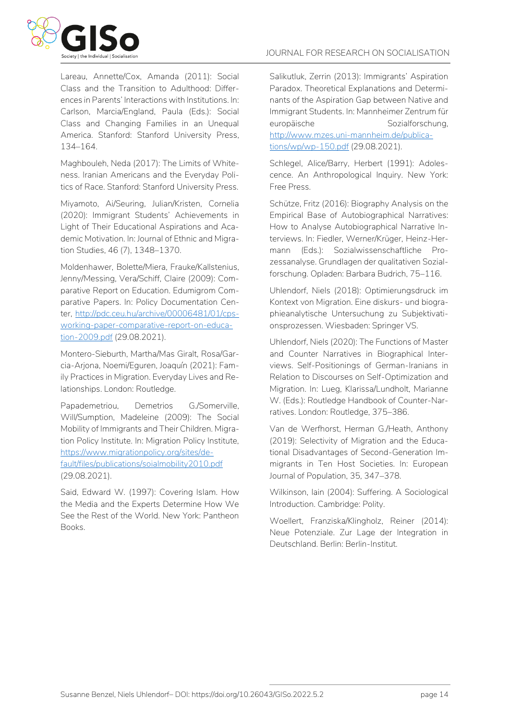

Lareau, Annette/Cox, Amanda (2011): Social Class and the Transition to Adulthood: Differences in Parents' Interactions with Institutions. In: Carlson, Marcia/England, Paula (Eds.): Social Class and Changing Families in an Unequal America. Stanford: Stanford University Press, 134–164.

Maghbouleh, Neda (2017): The Limits of Whiteness. Iranian Americans and the Everyday Politics of Race. Stanford: Stanford University Press.

Miyamoto, Ai/Seuring, Julian/Kristen, Cornelia (2020): Immigrant Students' Achievements in Light of Their Educational Aspirations and Academic Motivation. In: Journal of Ethnic and Migration Studies, 46 (7), 1348–1370.

Moldenhawer, Bolette/Miera, Frauke/Kallstenius, Jenny/Messing, Vera/Schiff, Claire (2009): Comparative Report on Education. Edumigrom Comparative Papers. In: Policy Documentation Center, [http://pdc.ceu.hu/archive/00006481/01/cps](http://pdc.ceu.hu/archive/00006481/01/cps-working-paper-comparative-report-on-education-2009.pdf)[working-paper-comparative-report-on-educa](http://pdc.ceu.hu/archive/00006481/01/cps-working-paper-comparative-report-on-education-2009.pdf)[tion-2009.pdf](http://pdc.ceu.hu/archive/00006481/01/cps-working-paper-comparative-report-on-education-2009.pdf) (29.08.2021).

Montero-Sieburth, Martha/Mas Giralt, Rosa/Garcia-Arjona, Noemi/Eguren, Joaquín (2021): Family Practices in Migration. Everyday Lives and Relationships. London: Routledge.

Papademetriou, Demetrios G./Somerville, Will/Sumption, Madeleine (2009): The Social Mobility of Immigrants and Their Children. Migration Policy Institute. In: Migration Policy Institute, [https://www.migrationpolicy.org/sites/de](https://www.migrationpolicy.org/sites/default/files/publications/soialmobility2010.pdf)[fault/files/publications/soialmobility2010.pdf](https://www.migrationpolicy.org/sites/default/files/publications/soialmobility2010.pdf) (29.08.2021).

Said, Edward W. (1997): Covering Islam. How the Media and the Experts Determine How We See the Rest of the World. New York: Pantheon Books.

Salikutluk, Zerrin (2013): Immigrants' Aspiration Paradox. Theoretical Explanations and Determinants of the Aspiration Gap between Native and Immigrant Students. In: Mannheimer Zentrum für europäische Sozialforschung, [http://www.mzes.uni-mannheim.de/publica](http://www.mzes.uni-mannheim.de/publications/wp/wp-150.pdf)[tions/wp/wp-150.pdf](http://www.mzes.uni-mannheim.de/publications/wp/wp-150.pdf) (29.08.2021).

Schlegel, Alice/Barry, Herbert (1991): Adolescence. An Anthropological Inquiry. New York: Free Press.

Schütze, Fritz (2016): Biography Analysis on the Empirical Base of Autobiographical Narratives: How to Analyse Autobiographical Narrative Interviews. In: Fiedler, Werner/Krüger, Heinz-Hermann (Eds.): Sozialwissenschaftliche Prozessanalyse. Grundlagen der qualitativen Sozialforschung. Opladen: Barbara Budrich, 75–116.

Uhlendorf, Niels (2018): Optimierungsdruck im Kontext von Migration. Eine diskurs- und biographieanalytische Untersuchung zu Subjektivationsprozessen. Wiesbaden: Springer VS.

Uhlendorf, Niels (2020): The Functions of Master and Counter Narratives in Biographical Interviews. Self-Positionings of German-Iranians in Relation to Discourses on Self-Optimization and Migration. In: Lueg, Klarissa/Lundholt, Marianne W. (Eds.): Routledge Handbook of Counter-Narratives. London: Routledge, 375–386.

Van de Werfhorst, Herman G./Heath, Anthony (2019): Selectivity of Migration and the Educational Disadvantages of Second-Generation Immigrants in Ten Host Societies. In: European Journal of Population, 35, 347–378.

Wilkinson, Iain (2004): Suffering. A Sociological Introduction. Cambridge: Polity.

Woellert, Franziska/Klingholz, Reiner (2014): Neue Potenziale. Zur Lage der Integration in Deutschland. Berlin: Berlin-Institut.